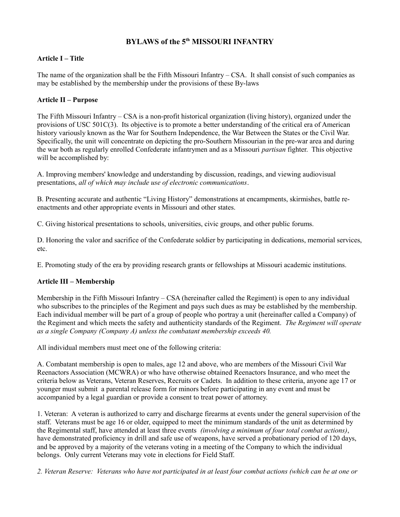# **BYLAWS of the 5th MISSOURI INFANTRY**

# **Article I – Title**

The name of the organization shall be the Fifth Missouri Infantry – CSA. It shall consist of such companies as may be established by the membership under the provisions of these By-laws

## **Article II – Purpose**

The Fifth Missouri Infantry – CSA is a non-profit historical organization (living history), organized under the provisions of USC 501C(3). Its objective is to promote a better understanding of the critical era of American history variously known as the War for Southern Independence, the War Between the States or the Civil War. Specifically, the unit will concentrate on depicting the pro-Southern Missourian in the pre-war area and during the war both as regularly enrolled Confederate infantrymen and as a Missouri *partisan* fighter. This objective will be accomplished by:

A. Improving members' knowledge and understanding by discussion, readings, and viewing audiovisual presentations, *all of which may include use of electronic communications*.

B. Presenting accurate and authentic "Living History" demonstrations at encampments, skirmishes, battle reenactments and other appropriate events in Missouri and other states.

C. Giving historical presentations to schools, universities, civic groups, and other public forums.

D. Honoring the valor and sacrifice of the Confederate soldier by participating in dedications, memorial services, etc.

E. Promoting study of the era by providing research grants or fellowships at Missouri academic institutions.

# **Article III – Membership**

Membership in the Fifth Missouri Infantry – CSA (hereinafter called the Regiment) is open to any individual who subscribes to the principles of the Regiment and pays such dues as may be established by the membership. Each individual member will be part of a group of people who portray a unit (hereinafter called a Company) of the Regiment and which meets the safety and authenticity standards of the Regiment. *The Regiment will operate as a single Company (Company A) unless the combatant membership exceeds 40.*

All individual members must meet one of the following criteria:

A. Combatant membership is open to males, age 12 and above, who are members of the Missouri Civil War Reenactors Association (MCWRA) or who have otherwise obtained Reenactors Insurance, and who meet the criteria below as Veterans, Veteran Reserves, Recruits or Cadets. In addition to these criteria, anyone age 17 or younger must submit a parental release form for minors before participating in any event and must be accompanied by a legal guardian or provide a consent to treat power of attorney.

1. Veteran: A veteran is authorized to carry and discharge firearms at events under the general supervision of the staff. Veterans must be age 16 or older, equipped to meet the minimum standards of the unit as determined by the Regimental staff, have attended at least three events *(involving a minimum of four total combat actions)*, have demonstrated proficiency in drill and safe use of weapons, have served a probationary period of 120 days, and be approved by a majority of the veterans voting in a meeting of the Company to which the individual belongs. Only current Veterans may vote in elections for Field Staff.

*2. Veteran Reserve: Veterans who have not participated in at least four combat actions (which can be at one or*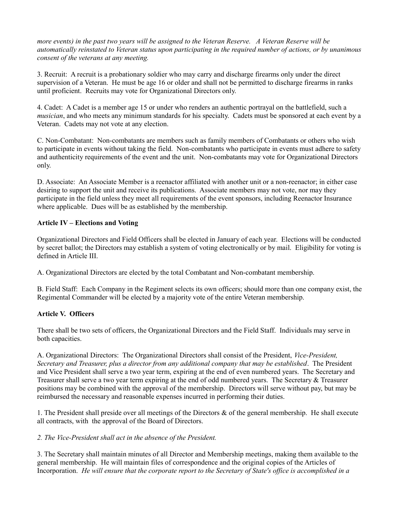*more events) in the past two years will be assigned to the Veteran Reserve. A Veteran Reserve will be automatically reinstated to Veteran status upon participating in the required number of actions, or by unanimous consent of the veterans at any meeting.* 

3. Recruit: A recruit is a probationary soldier who may carry and discharge firearms only under the direct supervision of a Veteran. He must be age 16 or older and shall not be permitted to discharge firearms in ranks until proficient. Recruits may vote for Organizational Directors only.

4. Cadet: A Cadet is a member age 15 or under who renders an authentic portrayal on the battlefield, such a *musician*, and who meets any minimum standards for his specialty. Cadets must be sponsored at each event by a Veteran. Cadets may not vote at any election.

C. Non-Combatant: Non-combatants are members such as family members of Combatants or others who wish to participate in events without taking the field. Non-combatants who participate in events must adhere to safety and authenticity requirements of the event and the unit. Non-combatants may vote for Organizational Directors only.

D. Associate: An Associate Member is a reenactor affiliated with another unit or a non-reenactor; in either case desiring to support the unit and receive its publications. Associate members may not vote, nor may they participate in the field unless they meet all requirements of the event sponsors, including Reenactor Insurance where applicable. Dues will be as established by the membership.

# **Article IV – Elections and Voting**

Organizational Directors and Field Officers shall be elected in January of each year. Elections will be conducted by secret ballot; the Directors may establish a system of voting electronically or by mail. Eligibility for voting is defined in Article III.

A. Organizational Directors are elected by the total Combatant and Non-combatant membership.

B. Field Staff: Each Company in the Regiment selects its own officers; should more than one company exist, the Regimental Commander will be elected by a majority vote of the entire Veteran membership.

## **Article V. Officers**

There shall be two sets of officers, the Organizational Directors and the Field Staff. Individuals may serve in both capacities.

A. Organizational Directors: The Organizational Directors shall consist of the President, *Vice-President, Secretary and Treasurer, plus a director from any additional company that may be established*. The President and Vice President shall serve a two year term, expiring at the end of even numbered years. The Secretary and Treasurer shall serve a two year term expiring at the end of odd numbered years. The Secretary & Treasurer positions may be combined with the approval of the membership. Directors will serve without pay, but may be reimbursed the necessary and reasonable expenses incurred in performing their duties.

1. The President shall preside over all meetings of the Directors  $\&$  of the general membership. He shall execute all contracts, with the approval of the Board of Directors.

## *2. The Vice-President shall act in the absence of the President.*

3. The Secretary shall maintain minutes of all Director and Membership meetings, making them available to the general membership. He will maintain files of correspondence and the original copies of the Articles of Incorporation. *He will ensure that the corporate report to the Secretary of State's office is accomplished in a*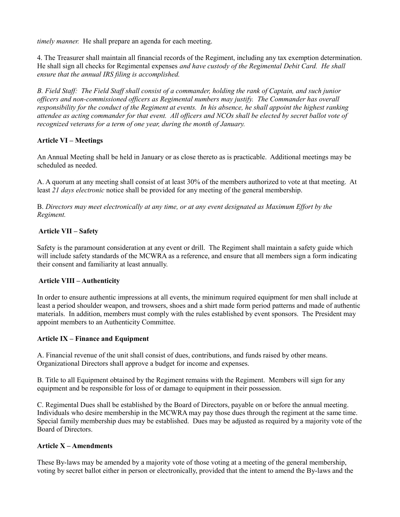*timely manner.* He shall prepare an agenda for each meeting.

4. The Treasurer shall maintain all financial records of the Regiment, including any tax exemption determination. He shall sign all checks for Regimental expenses *and have custody of the Regimental Debit Card. He shall ensure that the annual IRS filing is accomplished.*

*B. Field Staff: The Field Staff shall consist of a commander, holding the rank of Captain, and such junior officers and non-commissioned officers as Regimental numbers may justify. The Commander has overall responsibility for the conduct of the Regiment at events. In his absence, he shall appoint the highest ranking attendee as acting commander for that event. All officers and NCOs shall be elected by secret ballot vote of recognized veterans for a term of one year, during the month of January.* 

# **Article VI – Meetings**

An Annual Meeting shall be held in January or as close thereto as is practicable. Additional meetings may be scheduled as needed.

A. A quorum at any meeting shall consist of at least 30% of the members authorized to vote at that meeting. At least *21 days electronic* notice shall be provided for any meeting of the general membership.

B. *Directors may meet electronically at any time, or at any event designated as Maximum Effort by the Regiment.*

# **Article VII – Safety**

Safety is the paramount consideration at any event or drill. The Regiment shall maintain a safety guide which will include safety standards of the MCWRA as a reference, and ensure that all members sign a form indicating their consent and familiarity at least annually.

## **Article VIII – Authenticity**

In order to ensure authentic impressions at all events, the minimum required equipment for men shall include at least a period shoulder weapon, and trowsers, shoes and a shirt made form period patterns and made of authentic materials. In addition, members must comply with the rules established by event sponsors. The President may appoint members to an Authenticity Committee.

## **Article IX – Finance and Equipment**

A. Financial revenue of the unit shall consist of dues, contributions, and funds raised by other means. Organizational Directors shall approve a budget for income and expenses.

B. Title to all Equipment obtained by the Regiment remains with the Regiment. Members will sign for any equipment and be responsible for loss of or damage to equipment in their possession.

C. Regimental Dues shall be established by the Board of Directors, payable on or before the annual meeting. Individuals who desire membership in the MCWRA may pay those dues through the regiment at the same time. Special family membership dues may be established. Dues may be adjusted as required by a majority vote of the Board of Directors.

## **Article X – Amendments**

These By-laws may be amended by a majority vote of those voting at a meeting of the general membership, voting by secret ballot either in person or electronically, provided that the intent to amend the By-laws and the